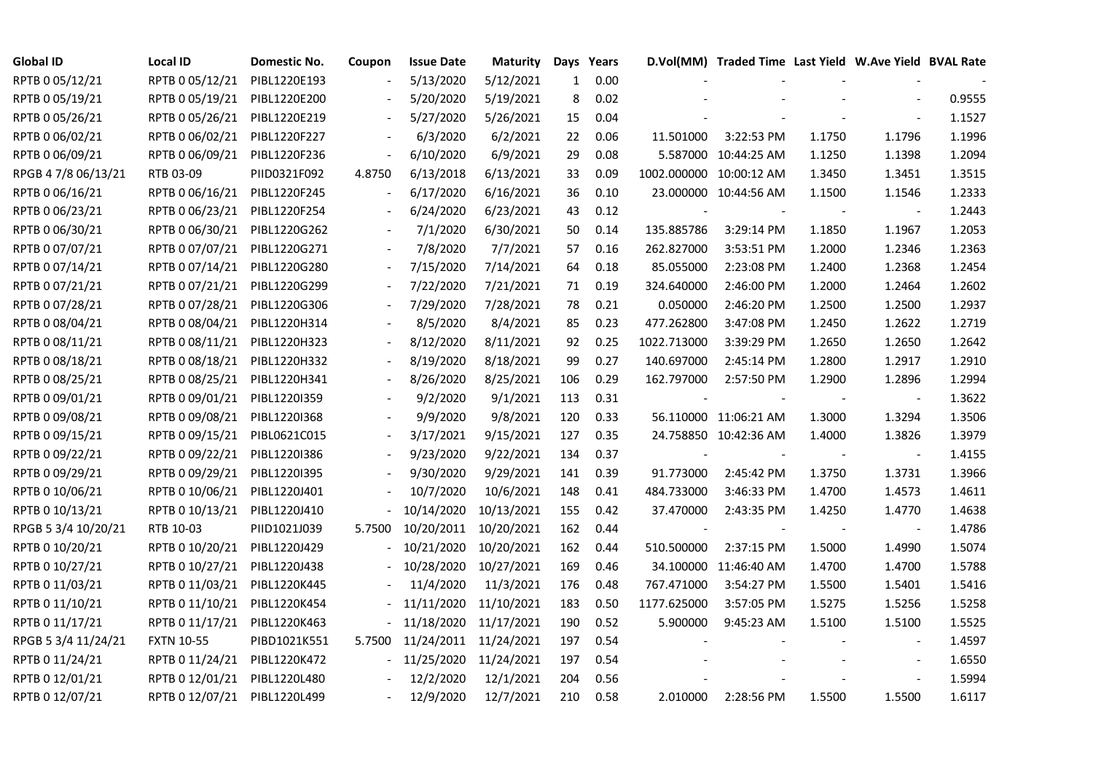| <b>Global ID</b>    | Local ID                     | Domestic No. | Coupon | <b>Issue Date</b> | <b>Maturity</b> |              | Days Years |                | D.Vol(MM) Traded Time Last Yield W.Ave Yield BVAL Rate |        |                          |        |
|---------------------|------------------------------|--------------|--------|-------------------|-----------------|--------------|------------|----------------|--------------------------------------------------------|--------|--------------------------|--------|
| RPTB 0 05/12/21     | RPTB 0 05/12/21              | PIBL1220E193 |        | 5/13/2020         | 5/12/2021       | $\mathbf{1}$ | 0.00       |                |                                                        |        |                          |        |
| RPTB 0 05/19/21     | RPTB 0 05/19/21              | PIBL1220E200 |        | 5/20/2020         | 5/19/2021       | 8            | 0.02       |                |                                                        |        |                          | 0.9555 |
| RPTB 0 05/26/21     | RPTB 0 05/26/21              | PIBL1220E219 |        | 5/27/2020         | 5/26/2021       | 15           | 0.04       |                |                                                        |        | $\overline{\phantom{a}}$ | 1.1527 |
| RPTB 0 06/02/21     | RPTB 0 06/02/21              | PIBL1220F227 |        | 6/3/2020          | 6/2/2021        | 22           | 0.06       | 11.501000      | 3:22:53 PM                                             | 1.1750 | 1.1796                   | 1.1996 |
| RPTB 0 06/09/21     | RPTB 0 06/09/21              | PIBL1220F236 |        | 6/10/2020         | 6/9/2021        | 29           | 0.08       |                | 5.587000 10:44:25 AM                                   | 1.1250 | 1.1398                   | 1.2094 |
| RPGB 4 7/8 06/13/21 | RTB 03-09                    | PIID0321F092 | 4.8750 | 6/13/2018         | 6/13/2021       | 33           | 0.09       |                | 1002.000000 10:00:12 AM                                | 1.3450 | 1.3451                   | 1.3515 |
| RPTB 0 06/16/21     | RPTB 0 06/16/21 PIBL1220F245 |              |        | 6/17/2020         | 6/16/2021       | 36           | 0.10       |                | 23.000000 10:44:56 AM                                  | 1.1500 | 1.1546                   | 1.2333 |
| RPTB 0 06/23/21     | RPTB 0 06/23/21              | PIBL1220F254 |        | 6/24/2020         | 6/23/2021       | 43           | 0.12       |                |                                                        |        | $\blacksquare$           | 1.2443 |
| RPTB 0 06/30/21     | RPTB 0 06/30/21              | PIBL1220G262 |        | 7/1/2020          | 6/30/2021       | 50           | 0.14       | 135.885786     | 3:29:14 PM                                             | 1.1850 | 1.1967                   | 1.2053 |
| RPTB 0 07/07/21     | RPTB 0 07/07/21              | PIBL1220G271 |        | 7/8/2020          | 7/7/2021        | 57           | 0.16       | 262.827000     | 3:53:51 PM                                             | 1.2000 | 1.2346                   | 1.2363 |
| RPTB 0 07/14/21     | RPTB 0 07/14/21              | PIBL1220G280 |        | 7/15/2020         | 7/14/2021       | 64           | 0.18       | 85.055000      | 2:23:08 PM                                             | 1.2400 | 1.2368                   | 1.2454 |
| RPTB 0 07/21/21     | RPTB 0 07/21/21              | PIBL1220G299 |        | 7/22/2020         | 7/21/2021       | 71           | 0.19       | 324.640000     | 2:46:00 PM                                             | 1.2000 | 1.2464                   | 1.2602 |
| RPTB 0 07/28/21     | RPTB 0 07/28/21              | PIBL1220G306 |        | 7/29/2020         | 7/28/2021       | 78           | 0.21       | 0.050000       | 2:46:20 PM                                             | 1.2500 | 1.2500                   | 1.2937 |
| RPTB 0 08/04/21     | RPTB 0 08/04/21              | PIBL1220H314 |        | 8/5/2020          | 8/4/2021        | 85           | 0.23       | 477.262800     | 3:47:08 PM                                             | 1.2450 | 1.2622                   | 1.2719 |
| RPTB 0 08/11/21     | RPTB 0 08/11/21              | PIBL1220H323 |        | 8/12/2020         | 8/11/2021       | 92           | 0.25       | 1022.713000    | 3:39:29 PM                                             | 1.2650 | 1.2650                   | 1.2642 |
| RPTB 0 08/18/21     | RPTB 0 08/18/21              | PIBL1220H332 |        | 8/19/2020         | 8/18/2021       | 99           | 0.27       | 140.697000     | 2:45:14 PM                                             | 1.2800 | 1.2917                   | 1.2910 |
| RPTB 0 08/25/21     | RPTB 0 08/25/21              | PIBL1220H341 |        | 8/26/2020         | 8/25/2021       | 106          | 0.29       | 162.797000     | 2:57:50 PM                                             | 1.2900 | 1.2896                   | 1.2994 |
| RPTB 0 09/01/21     | RPTB 0 09/01/21              | PIBL1220I359 |        | 9/2/2020          | 9/1/2021        | 113          | 0.31       |                |                                                        |        | $\blacksquare$           | 1.3622 |
| RPTB 0 09/08/21     | RPTB 0 09/08/21              | PIBL1220I368 |        | 9/9/2020          | 9/8/2021        | 120          | 0.33       |                | 56.110000 11:06:21 AM                                  | 1.3000 | 1.3294                   | 1.3506 |
| RPTB 0 09/15/21     | RPTB 0 09/15/21              | PIBL0621C015 |        | 3/17/2021         | 9/15/2021       | 127          | 0.35       |                | 24.758850 10:42:36 AM                                  | 1.4000 | 1.3826                   | 1.3979 |
| RPTB 0 09/22/21     | RPTB 0 09/22/21              | PIBL1220I386 |        | 9/23/2020         | 9/22/2021       | 134          | 0.37       | $\blacksquare$ | $\sim$                                                 | $\sim$ | $\blacksquare$           | 1.4155 |
| RPTB 0 09/29/21     | RPTB 0 09/29/21              | PIBL1220I395 |        | 9/30/2020         | 9/29/2021       | 141          | 0.39       | 91.773000      | 2:45:42 PM                                             | 1.3750 | 1.3731                   | 1.3966 |
| RPTB 0 10/06/21     | RPTB 0 10/06/21              | PIBL1220J401 |        | 10/7/2020         | 10/6/2021       | 148          | 0.41       | 484.733000     | 3:46:33 PM                                             | 1.4700 | 1.4573                   | 1.4611 |
| RPTB 0 10/13/21     | RPTB 0 10/13/21              | PIBL1220J410 |        | 10/14/2020        | 10/13/2021      | 155          | 0.42       | 37.470000      | 2:43:35 PM                                             | 1.4250 | 1.4770                   | 1.4638 |
| RPGB 5 3/4 10/20/21 | RTB 10-03                    | PIID1021J039 | 5.7500 | 10/20/2011        | 10/20/2021      | 162          | 0.44       |                |                                                        |        | $\blacksquare$           | 1.4786 |
| RPTB 0 10/20/21     | RPTB 0 10/20/21              | PIBL1220J429 |        | 10/21/2020        | 10/20/2021      | 162          | 0.44       | 510.500000     | 2:37:15 PM                                             | 1.5000 | 1.4990                   | 1.5074 |
| RPTB 0 10/27/21     | RPTB 0 10/27/21              | PIBL1220J438 |        | 10/28/2020        | 10/27/2021      | 169          | 0.46       |                | 34.100000 11:46:40 AM                                  | 1.4700 | 1.4700                   | 1.5788 |
| RPTB 0 11/03/21     | RPTB 0 11/03/21              | PIBL1220K445 |        | 11/4/2020         | 11/3/2021       | 176          | 0.48       | 767.471000     | 3:54:27 PM                                             | 1.5500 | 1.5401                   | 1.5416 |
| RPTB 0 11/10/21     | RPTB 0 11/10/21              | PIBL1220K454 |        | $-11/11/2020$     | 11/10/2021      | 183          | 0.50       | 1177.625000    | 3:57:05 PM                                             | 1.5275 | 1.5256                   | 1.5258 |
| RPTB 0 11/17/21     | RPTB 0 11/17/21              | PIBL1220K463 |        | 11/18/2020        | 11/17/2021      | 190          | 0.52       | 5.900000       | 9:45:23 AM                                             | 1.5100 | 1.5100                   | 1.5525 |
| RPGB 5 3/4 11/24/21 | <b>FXTN 10-55</b>            | PIBD1021K551 | 5.7500 | 11/24/2011        | 11/24/2021      | 197          | 0.54       |                |                                                        |        | $\blacksquare$           | 1.4597 |
| RPTB 0 11/24/21     | RPTB 0 11/24/21              | PIBL1220K472 |        | $-11/25/2020$     | 11/24/2021      | 197          | 0.54       |                |                                                        |        | $\sim$                   | 1.6550 |
| RPTB 0 12/01/21     | RPTB 0 12/01/21              | PIBL1220L480 |        | 12/2/2020         | 12/1/2021       | 204          | 0.56       |                |                                                        |        |                          | 1.5994 |
| RPTB 0 12/07/21     | RPTB 0 12/07/21 PIBL1220L499 |              |        | 12/9/2020         | 12/7/2021       | 210          | 0.58       | 2.010000       | 2:28:56 PM                                             | 1.5500 | 1.5500                   | 1.6117 |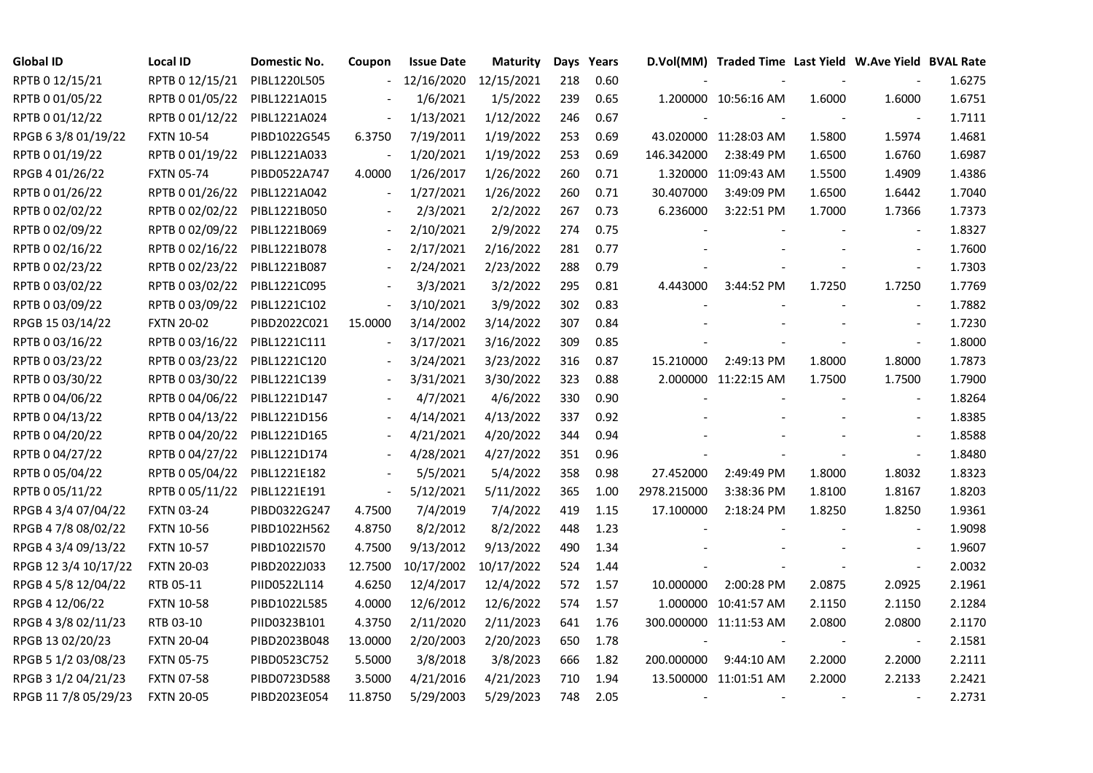| <b>Global ID</b>     | <b>Local ID</b>   | Domestic No. | Coupon  | <b>Issue Date</b> | <b>Maturity</b> |     | Days Years |                          | D.Vol(MM) Traded Time Last Yield W.Ave Yield BVAL Rate |        |                          |        |
|----------------------|-------------------|--------------|---------|-------------------|-----------------|-----|------------|--------------------------|--------------------------------------------------------|--------|--------------------------|--------|
| RPTB 0 12/15/21      | RPTB 0 12/15/21   | PIBL1220L505 |         | 12/16/2020        | 12/15/2021      | 218 | 0.60       |                          |                                                        |        |                          | 1.6275 |
| RPTB 0 01/05/22      | RPTB 0 01/05/22   | PIBL1221A015 |         | 1/6/2021          | 1/5/2022        | 239 | 0.65       |                          | 1.200000 10:56:16 AM                                   | 1.6000 | 1.6000                   | 1.6751 |
| RPTB 0 01/12/22      | RPTB 0 01/12/22   | PIBL1221A024 |         | 1/13/2021         | 1/12/2022       | 246 | 0.67       |                          |                                                        |        | $\sim$                   | 1.7111 |
| RPGB 63/8 01/19/22   | <b>FXTN 10-54</b> | PIBD1022G545 | 6.3750  | 7/19/2011         | 1/19/2022       | 253 | 0.69       |                          | 43.020000 11:28:03 AM                                  | 1.5800 | 1.5974                   | 1.4681 |
| RPTB 0 01/19/22      | RPTB 0 01/19/22   | PIBL1221A033 |         | 1/20/2021         | 1/19/2022       | 253 | 0.69       | 146.342000               | 2:38:49 PM                                             | 1.6500 | 1.6760                   | 1.6987 |
| RPGB 4 01/26/22      | <b>FXTN 05-74</b> | PIBD0522A747 | 4.0000  | 1/26/2017         | 1/26/2022       | 260 | 0.71       |                          | 1.320000 11:09:43 AM                                   | 1.5500 | 1.4909                   | 1.4386 |
| RPTB 0 01/26/22      | RPTB 0 01/26/22   | PIBL1221A042 |         | 1/27/2021         | 1/26/2022       | 260 | 0.71       | 30.407000                | 3:49:09 PM                                             | 1.6500 | 1.6442                   | 1.7040 |
| RPTB 0 02/02/22      | RPTB 0 02/02/22   | PIBL1221B050 |         | 2/3/2021          | 2/2/2022        | 267 | 0.73       | 6.236000                 | 3:22:51 PM                                             | 1.7000 | 1.7366                   | 1.7373 |
| RPTB 0 02/09/22      | RPTB 0 02/09/22   | PIBL1221B069 |         | 2/10/2021         | 2/9/2022        | 274 | 0.75       |                          |                                                        |        |                          | 1.8327 |
| RPTB 0 02/16/22      | RPTB 0 02/16/22   | PIBL1221B078 |         | 2/17/2021         | 2/16/2022       | 281 | 0.77       |                          |                                                        |        | $\sim$                   | 1.7600 |
| RPTB 0 02/23/22      | RPTB 0 02/23/22   | PIBL1221B087 |         | 2/24/2021         | 2/23/2022       | 288 | 0.79       |                          |                                                        |        | $\blacksquare$           | 1.7303 |
| RPTB 0 03/02/22      | RPTB 0 03/02/22   | PIBL1221C095 |         | 3/3/2021          | 3/2/2022        | 295 | 0.81       | 4.443000                 | 3:44:52 PM                                             | 1.7250 | 1.7250                   | 1.7769 |
| RPTB 0 03/09/22      | RPTB 0 03/09/22   | PIBL1221C102 |         | 3/10/2021         | 3/9/2022        | 302 | 0.83       |                          |                                                        |        | $\sim$                   | 1.7882 |
| RPGB 15 03/14/22     | <b>FXTN 20-02</b> | PIBD2022C021 | 15.0000 | 3/14/2002         | 3/14/2022       | 307 | 0.84       |                          |                                                        |        | $\sim$                   | 1.7230 |
| RPTB 0 03/16/22      | RPTB 0 03/16/22   | PIBL1221C111 |         | 3/17/2021         | 3/16/2022       | 309 | 0.85       |                          |                                                        |        | $\blacksquare$           | 1.8000 |
| RPTB 0 03/23/22      | RPTB 0 03/23/22   | PIBL1221C120 |         | 3/24/2021         | 3/23/2022       | 316 | 0.87       | 15.210000                | 2:49:13 PM                                             | 1.8000 | 1.8000                   | 1.7873 |
| RPTB 0 03/30/22      | RPTB 0 03/30/22   | PIBL1221C139 |         | 3/31/2021         | 3/30/2022       | 323 | 0.88       |                          | 2.000000 11:22:15 AM                                   | 1.7500 | 1.7500                   | 1.7900 |
| RPTB 0 04/06/22      | RPTB 0 04/06/22   | PIBL1221D147 |         | 4/7/2021          | 4/6/2022        | 330 | 0.90       |                          |                                                        |        | $\blacksquare$           | 1.8264 |
| RPTB 0 04/13/22      | RPTB 0 04/13/22   | PIBL1221D156 |         | 4/14/2021         | 4/13/2022       | 337 | 0.92       |                          |                                                        |        | $\sim$                   | 1.8385 |
| RPTB 0 04/20/22      | RPTB 0 04/20/22   | PIBL1221D165 |         | 4/21/2021         | 4/20/2022       | 344 | 0.94       |                          |                                                        |        | $\sim$                   | 1.8588 |
| RPTB 0 04/27/22      | RPTB 0 04/27/22   | PIBL1221D174 |         | 4/28/2021         | 4/27/2022       | 351 | 0.96       |                          |                                                        |        | $\blacksquare$           | 1.8480 |
| RPTB 0 05/04/22      | RPTB 0 05/04/22   | PIBL1221E182 |         | 5/5/2021          | 5/4/2022        | 358 | 0.98       | 27.452000                | 2:49:49 PM                                             | 1.8000 | 1.8032                   | 1.8323 |
| RPTB 0 05/11/22      | RPTB 0 05/11/22   | PIBL1221E191 |         | 5/12/2021         | 5/11/2022       | 365 | 1.00       | 2978.215000              | 3:38:36 PM                                             | 1.8100 | 1.8167                   | 1.8203 |
| RPGB 4 3/4 07/04/22  | <b>FXTN 03-24</b> | PIBD0322G247 | 4.7500  | 7/4/2019          | 7/4/2022        | 419 | 1.15       | 17.100000                | 2:18:24 PM                                             | 1.8250 | 1.8250                   | 1.9361 |
| RPGB 4 7/8 08/02/22  | <b>FXTN 10-56</b> | PIBD1022H562 | 4.8750  | 8/2/2012          | 8/2/2022        | 448 | 1.23       |                          |                                                        |        | $\sim$                   | 1.9098 |
| RPGB 4 3/4 09/13/22  | <b>FXTN 10-57</b> | PIBD1022I570 | 4.7500  | 9/13/2012         | 9/13/2022       | 490 | 1.34       |                          |                                                        |        | $\sim$                   | 1.9607 |
| RPGB 12 3/4 10/17/22 | <b>FXTN 20-03</b> | PIBD2022J033 | 12.7500 | 10/17/2002        | 10/17/2022      | 524 | 1.44       |                          |                                                        |        | $\blacksquare$           | 2.0032 |
| RPGB 4 5/8 12/04/22  | RTB 05-11         | PIID0522L114 | 4.6250  | 12/4/2017         | 12/4/2022       | 572 | 1.57       | 10.000000                | 2:00:28 PM                                             | 2.0875 | 2.0925                   | 2.1961 |
| RPGB 4 12/06/22      | <b>FXTN 10-58</b> | PIBD1022L585 | 4.0000  | 12/6/2012         | 12/6/2022       | 574 | 1.57       |                          | 1.000000 10:41:57 AM                                   | 2.1150 | 2.1150                   | 2.1284 |
| RPGB 4 3/8 02/11/23  | RTB 03-10         | PIID0323B101 | 4.3750  | 2/11/2020         | 2/11/2023       | 641 | 1.76       |                          | 300.000000 11:11:53 AM                                 | 2.0800 | 2.0800                   | 2.1170 |
| RPGB 13 02/20/23     | <b>FXTN 20-04</b> | PIBD2023B048 | 13.0000 | 2/20/2003         | 2/20/2023       | 650 | 1.78       |                          |                                                        |        | $\overline{\phantom{a}}$ | 2.1581 |
| RPGB 5 1/2 03/08/23  | <b>FXTN 05-75</b> | PIBD0523C752 | 5.5000  | 3/8/2018          | 3/8/2023        | 666 | 1.82       | 200.000000               | 9:44:10 AM                                             | 2.2000 | 2.2000                   | 2.2111 |
| RPGB 3 1/2 04/21/23  | <b>FXTN 07-58</b> | PIBD0723D588 | 3.5000  | 4/21/2016         | 4/21/2023       | 710 | 1.94       |                          | 13.500000 11:01:51 AM                                  | 2.2000 | 2.2133                   | 2.2421 |
| RPGB 11 7/8 05/29/23 | <b>FXTN 20-05</b> | PIBD2023E054 | 11.8750 | 5/29/2003         | 5/29/2023       | 748 | 2.05       | $\overline{\phantom{a}}$ |                                                        |        |                          | 2.2731 |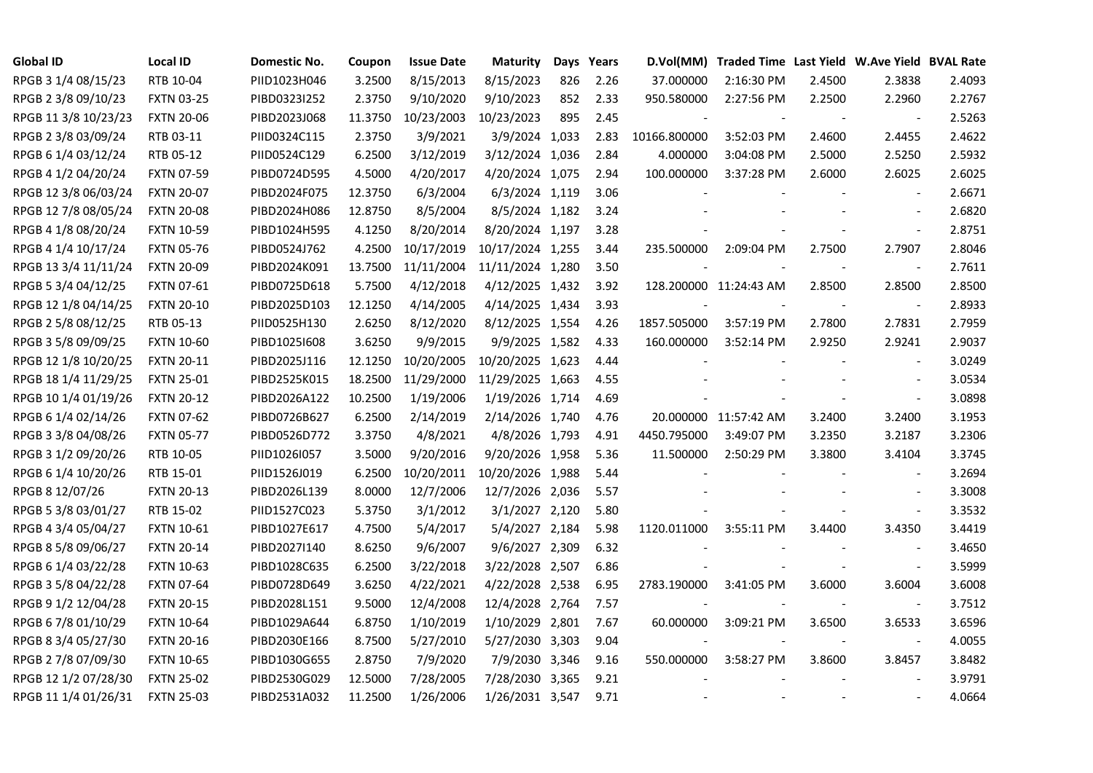| <b>Global ID</b>     | <b>Local ID</b>   | Domestic No. | Coupon  | <b>Issue Date</b> | <b>Maturity</b>  |     | Days Years |              | D.Vol(MM) Traded Time Last Yield W.Ave Yield BVAL Rate |        |                          |        |
|----------------------|-------------------|--------------|---------|-------------------|------------------|-----|------------|--------------|--------------------------------------------------------|--------|--------------------------|--------|
| RPGB 3 1/4 08/15/23  | RTB 10-04         | PIID1023H046 | 3.2500  | 8/15/2013         | 8/15/2023        | 826 | 2.26       | 37.000000    | 2:16:30 PM                                             | 2.4500 | 2.3838                   | 2.4093 |
| RPGB 2 3/8 09/10/23  | <b>FXTN 03-25</b> | PIBD0323I252 | 2.3750  | 9/10/2020         | 9/10/2023        | 852 | 2.33       | 950.580000   | 2:27:56 PM                                             | 2.2500 | 2.2960                   | 2.2767 |
| RPGB 11 3/8 10/23/23 | <b>FXTN 20-06</b> | PIBD2023J068 | 11.3750 | 10/23/2003        | 10/23/2023       | 895 | 2.45       |              |                                                        |        | $\sim$                   | 2.5263 |
| RPGB 2 3/8 03/09/24  | RTB 03-11         | PIID0324C115 | 2.3750  | 3/9/2021          | 3/9/2024 1,033   |     | 2.83       | 10166.800000 | 3:52:03 PM                                             | 2.4600 | 2.4455                   | 2.4622 |
| RPGB 6 1/4 03/12/24  | RTB 05-12         | PIID0524C129 | 6.2500  | 3/12/2019         | 3/12/2024 1,036  |     | 2.84       | 4.000000     | 3:04:08 PM                                             | 2.5000 | 2.5250                   | 2.5932 |
| RPGB 4 1/2 04/20/24  | <b>FXTN 07-59</b> | PIBD0724D595 | 4.5000  | 4/20/2017         | 4/20/2024 1,075  |     | 2.94       | 100.000000   | 3:37:28 PM                                             | 2.6000 | 2.6025                   | 2.6025 |
| RPGB 12 3/8 06/03/24 | <b>FXTN 20-07</b> | PIBD2024F075 | 12.3750 | 6/3/2004          | 6/3/2024 1,119   |     | 3.06       |              |                                                        |        | $\overline{\phantom{a}}$ | 2.6671 |
| RPGB 12 7/8 08/05/24 | <b>FXTN 20-08</b> | PIBD2024H086 | 12.8750 | 8/5/2004          | 8/5/2024 1,182   |     | 3.24       |              |                                                        |        | $\overline{a}$           | 2.6820 |
| RPGB 4 1/8 08/20/24  | <b>FXTN 10-59</b> | PIBD1024H595 | 4.1250  | 8/20/2014         | 8/20/2024 1,197  |     | 3.28       |              |                                                        |        | $\overline{\phantom{a}}$ | 2.8751 |
| RPGB 4 1/4 10/17/24  | <b>FXTN 05-76</b> | PIBD0524J762 | 4.2500  | 10/17/2019        | 10/17/2024 1,255 |     | 3.44       | 235.500000   | 2:09:04 PM                                             | 2.7500 | 2.7907                   | 2.8046 |
| RPGB 13 3/4 11/11/24 | <b>FXTN 20-09</b> | PIBD2024K091 | 13.7500 | 11/11/2004        | 11/11/2024 1,280 |     | 3.50       |              |                                                        | $\sim$ | $\blacksquare$           | 2.7611 |
| RPGB 5 3/4 04/12/25  | <b>FXTN 07-61</b> | PIBD0725D618 | 5.7500  | 4/12/2018         | 4/12/2025 1,432  |     | 3.92       |              | 128.200000 11:24:43 AM                                 | 2.8500 | 2.8500                   | 2.8500 |
| RPGB 12 1/8 04/14/25 | <b>FXTN 20-10</b> | PIBD2025D103 | 12.1250 | 4/14/2005         | 4/14/2025 1,434  |     | 3.93       |              |                                                        |        | $\blacksquare$           | 2.8933 |
| RPGB 2 5/8 08/12/25  | RTB 05-13         | PIID0525H130 | 2.6250  | 8/12/2020         | 8/12/2025 1,554  |     | 4.26       | 1857.505000  | 3:57:19 PM                                             | 2.7800 | 2.7831                   | 2.7959 |
| RPGB 3 5/8 09/09/25  | <b>FXTN 10-60</b> | PIBD10251608 | 3.6250  | 9/9/2015          | 9/9/2025 1,582   |     | 4.33       | 160.000000   | 3:52:14 PM                                             | 2.9250 | 2.9241                   | 2.9037 |
| RPGB 12 1/8 10/20/25 | <b>FXTN 20-11</b> | PIBD2025J116 | 12.1250 | 10/20/2005        | 10/20/2025 1,623 |     | 4.44       |              |                                                        |        |                          | 3.0249 |
| RPGB 18 1/4 11/29/25 | <b>FXTN 25-01</b> | PIBD2525K015 | 18.2500 | 11/29/2000        | 11/29/2025 1,663 |     | 4.55       |              |                                                        |        | $\overline{\phantom{a}}$ | 3.0534 |
| RPGB 10 1/4 01/19/26 | <b>FXTN 20-12</b> | PIBD2026A122 | 10.2500 | 1/19/2006         | 1/19/2026 1,714  |     | 4.69       |              |                                                        |        | $\sim$                   | 3.0898 |
| RPGB 6 1/4 02/14/26  | <b>FXTN 07-62</b> | PIBD0726B627 | 6.2500  | 2/14/2019         | 2/14/2026 1,740  |     | 4.76       |              | 20.000000 11:57:42 AM                                  | 3.2400 | 3.2400                   | 3.1953 |
| RPGB 3 3/8 04/08/26  | <b>FXTN 05-77</b> | PIBD0526D772 | 3.3750  | 4/8/2021          | 4/8/2026 1,793   |     | 4.91       | 4450.795000  | 3:49:07 PM                                             | 3.2350 | 3.2187                   | 3.2306 |
| RPGB 3 1/2 09/20/26  | RTB 10-05         | PIID1026I057 | 3.5000  | 9/20/2016         | 9/20/2026 1,958  |     | 5.36       | 11.500000    | 2:50:29 PM                                             | 3.3800 | 3.4104                   | 3.3745 |
| RPGB 6 1/4 10/20/26  | RTB 15-01         | PIID1526J019 | 6.2500  | 10/20/2011        | 10/20/2026 1,988 |     | 5.44       |              |                                                        |        | $\sim$                   | 3.2694 |
| RPGB 8 12/07/26      | <b>FXTN 20-13</b> | PIBD2026L139 | 8.0000  | 12/7/2006         | 12/7/2026 2,036  |     | 5.57       |              |                                                        |        |                          | 3.3008 |
| RPGB 5 3/8 03/01/27  | RTB 15-02         | PIID1527C023 | 5.3750  | 3/1/2012          | 3/1/2027 2,120   |     | 5.80       |              |                                                        |        | $\blacksquare$           | 3.3532 |
| RPGB 4 3/4 05/04/27  | <b>FXTN 10-61</b> | PIBD1027E617 | 4.7500  | 5/4/2017          | 5/4/2027 2,184   |     | 5.98       | 1120.011000  | 3:55:11 PM                                             | 3.4400 | 3.4350                   | 3.4419 |
| RPGB 8 5/8 09/06/27  | <b>FXTN 20-14</b> | PIBD2027I140 | 8.6250  | 9/6/2007          | 9/6/2027 2,309   |     | 6.32       |              |                                                        |        | $\blacksquare$           | 3.4650 |
| RPGB 6 1/4 03/22/28  | <b>FXTN 10-63</b> | PIBD1028C635 | 6.2500  | 3/22/2018         | 3/22/2028 2,507  |     | 6.86       |              |                                                        |        |                          | 3.5999 |
| RPGB 3 5/8 04/22/28  | <b>FXTN 07-64</b> | PIBD0728D649 | 3.6250  | 4/22/2021         | 4/22/2028 2,538  |     | 6.95       | 2783.190000  | 3:41:05 PM                                             | 3.6000 | 3.6004                   | 3.6008 |
| RPGB 9 1/2 12/04/28  | <b>FXTN 20-15</b> | PIBD2028L151 | 9.5000  | 12/4/2008         | 12/4/2028 2,764  |     | 7.57       |              |                                                        |        | $\blacksquare$           | 3.7512 |
| RPGB 67/8 01/10/29   | <b>FXTN 10-64</b> | PIBD1029A644 | 6.8750  | 1/10/2019         | 1/10/2029 2,801  |     | 7.67       | 60.000000    | 3:09:21 PM                                             | 3.6500 | 3.6533                   | 3.6596 |
| RPGB 8 3/4 05/27/30  | <b>FXTN 20-16</b> | PIBD2030E166 | 8.7500  | 5/27/2010         | 5/27/2030 3,303  |     | 9.04       |              |                                                        |        | $\overline{\phantom{a}}$ | 4.0055 |
| RPGB 2 7/8 07/09/30  | <b>FXTN 10-65</b> | PIBD1030G655 | 2.8750  | 7/9/2020          | 7/9/2030 3,346   |     | 9.16       | 550.000000   | 3:58:27 PM                                             | 3.8600 | 3.8457                   | 3.8482 |
| RPGB 12 1/2 07/28/30 | <b>FXTN 25-02</b> | PIBD2530G029 | 12.5000 | 7/28/2005         | 7/28/2030 3,365  |     | 9.21       |              |                                                        |        |                          | 3.9791 |
| RPGB 11 1/4 01/26/31 | <b>FXTN 25-03</b> | PIBD2531A032 | 11.2500 | 1/26/2006         | 1/26/2031 3,547  |     | 9.71       |              |                                                        |        |                          | 4.0664 |